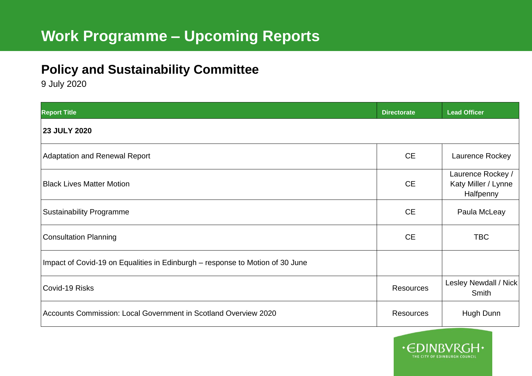## **Policy and Sustainability Committee**

9 July 2020

| <b>Report Title</b>                                                           | <b>Directorate</b> | <b>Lead Officer</b>                                   |
|-------------------------------------------------------------------------------|--------------------|-------------------------------------------------------|
| <b>23 JULY 2020</b>                                                           |                    |                                                       |
| <b>Adaptation and Renewal Report</b>                                          | <b>CE</b>          | Laurence Rockey                                       |
| <b>Black Lives Matter Motion</b>                                              | <b>CE</b>          | Laurence Rockey /<br>Katy Miller / Lynne<br>Halfpenny |
| <b>Sustainability Programme</b>                                               | <b>CE</b>          | Paula McLeay                                          |
| <b>Consultation Planning</b>                                                  | <b>CE</b>          | <b>TBC</b>                                            |
| Impact of Covid-19 on Equalities in Edinburgh - response to Motion of 30 June |                    |                                                       |
| Covid-19 Risks                                                                | <b>Resources</b>   | Lesley Newdall / Nick<br>Smith                        |
| Accounts Commission: Local Government in Scotland Overview 2020               | <b>Resources</b>   | Hugh Dunn                                             |

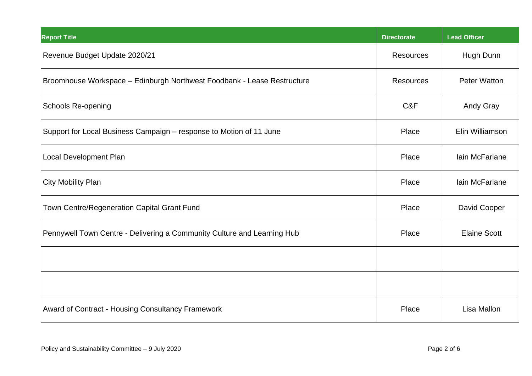| <b>Report Title</b>                                                     | <b>Directorate</b> | <b>Lead Officer</b> |
|-------------------------------------------------------------------------|--------------------|---------------------|
| Revenue Budget Update 2020/21                                           | <b>Resources</b>   | Hugh Dunn           |
| Broomhouse Workspace - Edinburgh Northwest Foodbank - Lease Restructure | <b>Resources</b>   | Peter Watton        |
| <b>Schools Re-opening</b>                                               | C&F                | <b>Andy Gray</b>    |
| Support for Local Business Campaign - response to Motion of 11 June     | Place              | Elin Williamson     |
| Local Development Plan                                                  | Place              | Iain McFarlane      |
| <b>City Mobility Plan</b>                                               | Place              | Iain McFarlane      |
| Town Centre/Regeneration Capital Grant Fund                             | Place              | David Cooper        |
| Pennywell Town Centre - Delivering a Community Culture and Learning Hub | Place              | <b>Elaine Scott</b> |
|                                                                         |                    |                     |
|                                                                         |                    |                     |
| Award of Contract - Housing Consultancy Framework                       | Place              | Lisa Mallon         |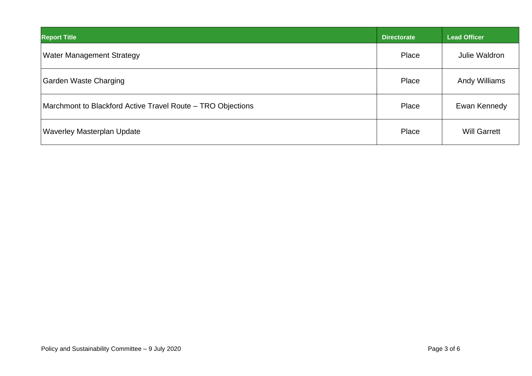| <b>Report Title</b>                                         | <b>Directorate</b> | Lead Officer         |
|-------------------------------------------------------------|--------------------|----------------------|
| Water Management Strategy                                   | Place              | Julie Waldron        |
| <b>Garden Waste Charging</b>                                | Place              | <b>Andy Williams</b> |
| Marchmont to Blackford Active Travel Route – TRO Objections | Place              | Ewan Kennedy         |
| <b>Waverley Masterplan Update</b>                           | Place              | <b>Will Garrett</b>  |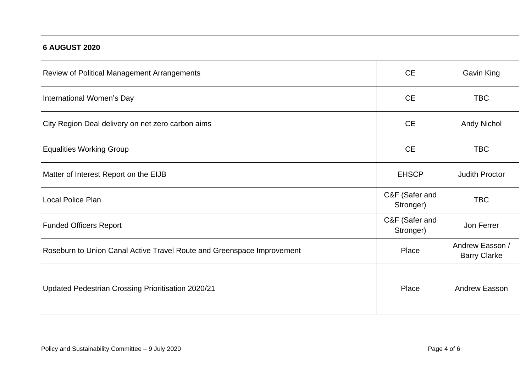| <b>6 AUGUST 2020</b>                                                   |                             |                                        |
|------------------------------------------------------------------------|-----------------------------|----------------------------------------|
| Review of Political Management Arrangements                            | <b>CE</b>                   | Gavin King                             |
| International Women's Day                                              | <b>CE</b>                   | <b>TBC</b>                             |
| City Region Deal delivery on net zero carbon aims                      | <b>CE</b>                   | <b>Andy Nichol</b>                     |
| <b>Equalities Working Group</b>                                        | <b>CE</b>                   | <b>TBC</b>                             |
| Matter of Interest Report on the EIJB                                  | <b>EHSCP</b>                | <b>Judith Proctor</b>                  |
| <b>Local Police Plan</b>                                               | C&F (Safer and<br>Stronger) | <b>TBC</b>                             |
| <b>Funded Officers Report</b>                                          | C&F (Safer and<br>Stronger) | Jon Ferrer                             |
| Roseburn to Union Canal Active Travel Route and Greenspace Improvement | Place                       | Andrew Easson /<br><b>Barry Clarke</b> |
| Updated Pedestrian Crossing Prioritisation 2020/21                     | Place                       | Andrew Easson                          |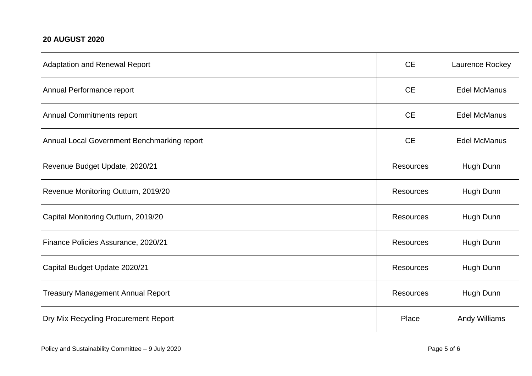| <b>20 AUGUST 2020</b>                       |                  |                     |
|---------------------------------------------|------------------|---------------------|
| <b>Adaptation and Renewal Report</b>        | <b>CE</b>        | Laurence Rockey     |
| Annual Performance report                   | <b>CE</b>        | <b>Edel McManus</b> |
| <b>Annual Commitments report</b>            | <b>CE</b>        | <b>Edel McManus</b> |
| Annual Local Government Benchmarking report | <b>CE</b>        | <b>Edel McManus</b> |
| Revenue Budget Update, 2020/21              | Resources        | Hugh Dunn           |
| Revenue Monitoring Outturn, 2019/20         | Resources        | Hugh Dunn           |
| Capital Monitoring Outturn, 2019/20         | <b>Resources</b> | Hugh Dunn           |
| Finance Policies Assurance, 2020/21         | <b>Resources</b> | Hugh Dunn           |
| Capital Budget Update 2020/21               | Resources        | Hugh Dunn           |
| <b>Treasury Management Annual Report</b>    | <b>Resources</b> | Hugh Dunn           |
| Dry Mix Recycling Procurement Report        | Place            | Andy Williams       |